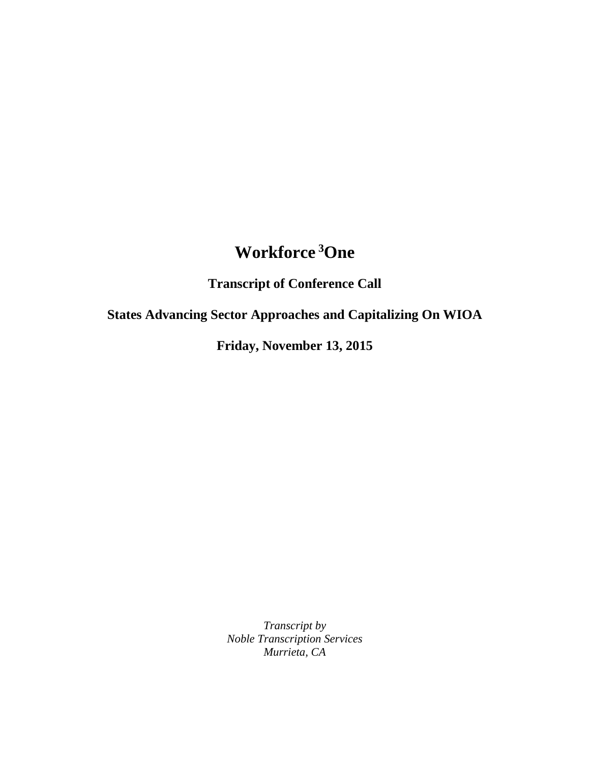## **Workforce <sup>3</sup>One**

**Transcript of Conference Call**

**States Advancing Sector Approaches and Capitalizing On WIOA**

**Friday, November 13, 2015**

*Transcript by Noble Transcription Services Murrieta, CA*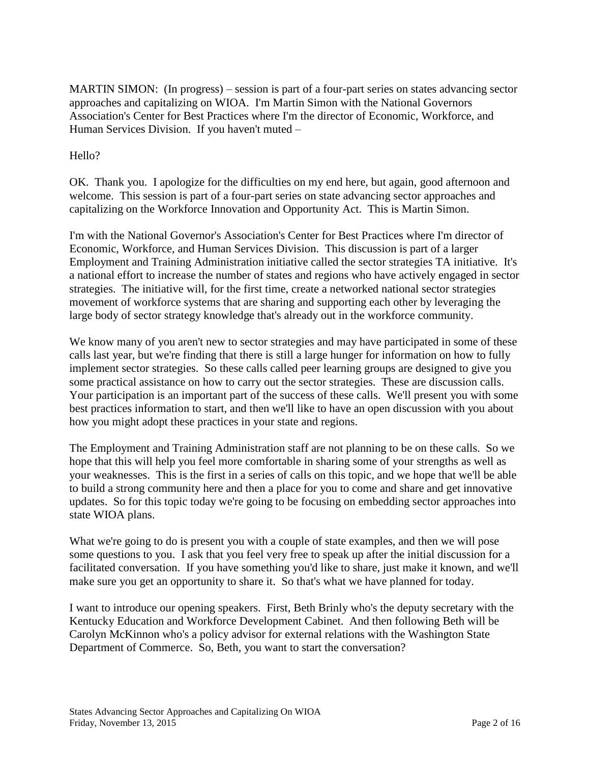MARTIN SIMON: (In progress) – session is part of a four-part series on states advancing sector approaches and capitalizing on WIOA. I'm Martin Simon with the National Governors Association's Center for Best Practices where I'm the director of Economic, Workforce, and Human Services Division. If you haven't muted –

## Hello?

OK. Thank you. I apologize for the difficulties on my end here, but again, good afternoon and welcome. This session is part of a four-part series on state advancing sector approaches and capitalizing on the Workforce Innovation and Opportunity Act. This is Martin Simon.

I'm with the National Governor's Association's Center for Best Practices where I'm director of Economic, Workforce, and Human Services Division. This discussion is part of a larger Employment and Training Administration initiative called the sector strategies TA initiative. It's a national effort to increase the number of states and regions who have actively engaged in sector strategies. The initiative will, for the first time, create a networked national sector strategies movement of workforce systems that are sharing and supporting each other by leveraging the large body of sector strategy knowledge that's already out in the workforce community.

We know many of you aren't new to sector strategies and may have participated in some of these calls last year, but we're finding that there is still a large hunger for information on how to fully implement sector strategies. So these calls called peer learning groups are designed to give you some practical assistance on how to carry out the sector strategies. These are discussion calls. Your participation is an important part of the success of these calls. We'll present you with some best practices information to start, and then we'll like to have an open discussion with you about how you might adopt these practices in your state and regions.

The Employment and Training Administration staff are not planning to be on these calls. So we hope that this will help you feel more comfortable in sharing some of your strengths as well as your weaknesses. This is the first in a series of calls on this topic, and we hope that we'll be able to build a strong community here and then a place for you to come and share and get innovative updates. So for this topic today we're going to be focusing on embedding sector approaches into state WIOA plans.

What we're going to do is present you with a couple of state examples, and then we will pose some questions to you. I ask that you feel very free to speak up after the initial discussion for a facilitated conversation. If you have something you'd like to share, just make it known, and we'll make sure you get an opportunity to share it. So that's what we have planned for today.

I want to introduce our opening speakers. First, Beth Brinly who's the deputy secretary with the Kentucky Education and Workforce Development Cabinet. And then following Beth will be Carolyn McKinnon who's a policy advisor for external relations with the Washington State Department of Commerce. So, Beth, you want to start the conversation?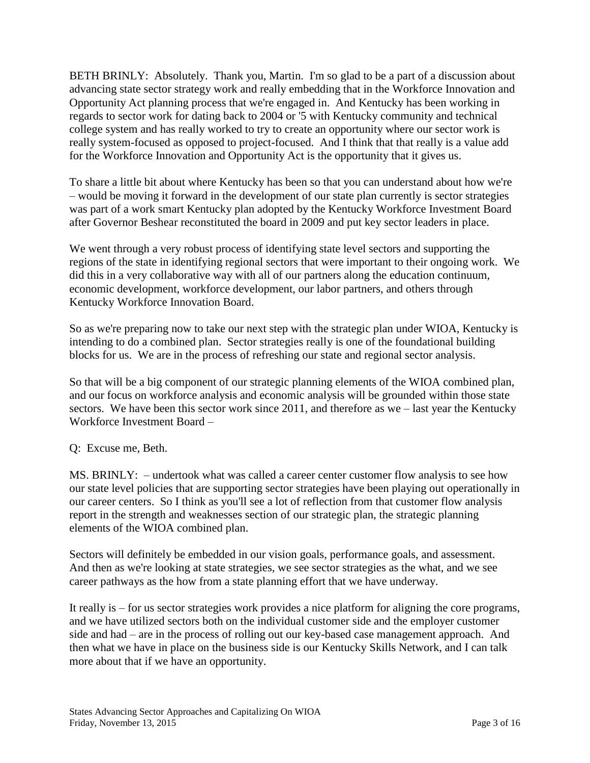BETH BRINLY: Absolutely. Thank you, Martin. I'm so glad to be a part of a discussion about advancing state sector strategy work and really embedding that in the Workforce Innovation and Opportunity Act planning process that we're engaged in. And Kentucky has been working in regards to sector work for dating back to 2004 or '5 with Kentucky community and technical college system and has really worked to try to create an opportunity where our sector work is really system-focused as opposed to project-focused. And I think that that really is a value add for the Workforce Innovation and Opportunity Act is the opportunity that it gives us.

To share a little bit about where Kentucky has been so that you can understand about how we're – would be moving it forward in the development of our state plan currently is sector strategies was part of a work smart Kentucky plan adopted by the Kentucky Workforce Investment Board after Governor Beshear reconstituted the board in 2009 and put key sector leaders in place.

We went through a very robust process of identifying state level sectors and supporting the regions of the state in identifying regional sectors that were important to their ongoing work. We did this in a very collaborative way with all of our partners along the education continuum, economic development, workforce development, our labor partners, and others through Kentucky Workforce Innovation Board.

So as we're preparing now to take our next step with the strategic plan under WIOA, Kentucky is intending to do a combined plan. Sector strategies really is one of the foundational building blocks for us. We are in the process of refreshing our state and regional sector analysis.

So that will be a big component of our strategic planning elements of the WIOA combined plan, and our focus on workforce analysis and economic analysis will be grounded within those state sectors. We have been this sector work since 2011, and therefore as we – last year the Kentucky Workforce Investment Board –

## Q: Excuse me, Beth.

MS. BRINLY: – undertook what was called a career center customer flow analysis to see how our state level policies that are supporting sector strategies have been playing out operationally in our career centers. So I think as you'll see a lot of reflection from that customer flow analysis report in the strength and weaknesses section of our strategic plan, the strategic planning elements of the WIOA combined plan.

Sectors will definitely be embedded in our vision goals, performance goals, and assessment. And then as we're looking at state strategies, we see sector strategies as the what, and we see career pathways as the how from a state planning effort that we have underway.

It really is – for us sector strategies work provides a nice platform for aligning the core programs, and we have utilized sectors both on the individual customer side and the employer customer side and had – are in the process of rolling out our key-based case management approach. And then what we have in place on the business side is our Kentucky Skills Network, and I can talk more about that if we have an opportunity.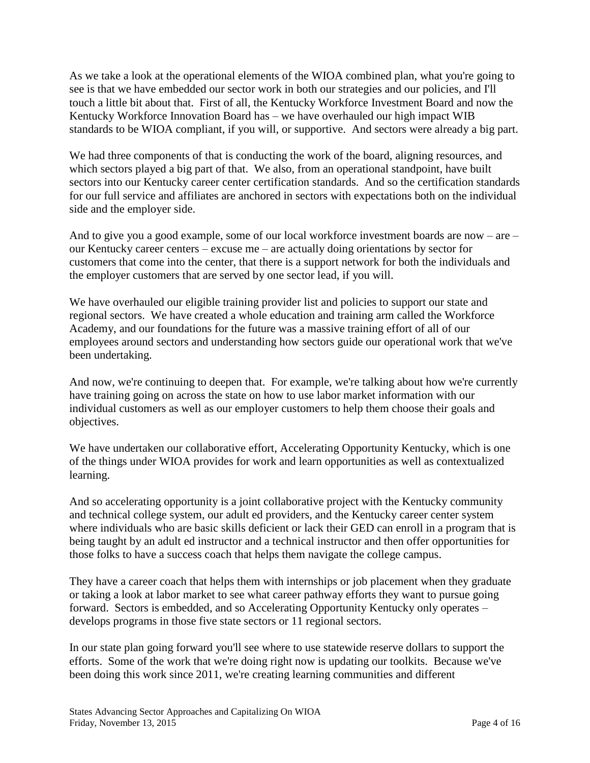As we take a look at the operational elements of the WIOA combined plan, what you're going to see is that we have embedded our sector work in both our strategies and our policies, and I'll touch a little bit about that. First of all, the Kentucky Workforce Investment Board and now the Kentucky Workforce Innovation Board has – we have overhauled our high impact WIB standards to be WIOA compliant, if you will, or supportive. And sectors were already a big part.

We had three components of that is conducting the work of the board, aligning resources, and which sectors played a big part of that. We also, from an operational standpoint, have built sectors into our Kentucky career center certification standards. And so the certification standards for our full service and affiliates are anchored in sectors with expectations both on the individual side and the employer side.

And to give you a good example, some of our local workforce investment boards are now – are – our Kentucky career centers – excuse me – are actually doing orientations by sector for customers that come into the center, that there is a support network for both the individuals and the employer customers that are served by one sector lead, if you will.

We have overhauled our eligible training provider list and policies to support our state and regional sectors. We have created a whole education and training arm called the Workforce Academy, and our foundations for the future was a massive training effort of all of our employees around sectors and understanding how sectors guide our operational work that we've been undertaking.

And now, we're continuing to deepen that. For example, we're talking about how we're currently have training going on across the state on how to use labor market information with our individual customers as well as our employer customers to help them choose their goals and objectives.

We have undertaken our collaborative effort, Accelerating Opportunity Kentucky, which is one of the things under WIOA provides for work and learn opportunities as well as contextualized learning.

And so accelerating opportunity is a joint collaborative project with the Kentucky community and technical college system, our adult ed providers, and the Kentucky career center system where individuals who are basic skills deficient or lack their GED can enroll in a program that is being taught by an adult ed instructor and a technical instructor and then offer opportunities for those folks to have a success coach that helps them navigate the college campus.

They have a career coach that helps them with internships or job placement when they graduate or taking a look at labor market to see what career pathway efforts they want to pursue going forward. Sectors is embedded, and so Accelerating Opportunity Kentucky only operates – develops programs in those five state sectors or 11 regional sectors.

In our state plan going forward you'll see where to use statewide reserve dollars to support the efforts. Some of the work that we're doing right now is updating our toolkits. Because we've been doing this work since 2011, we're creating learning communities and different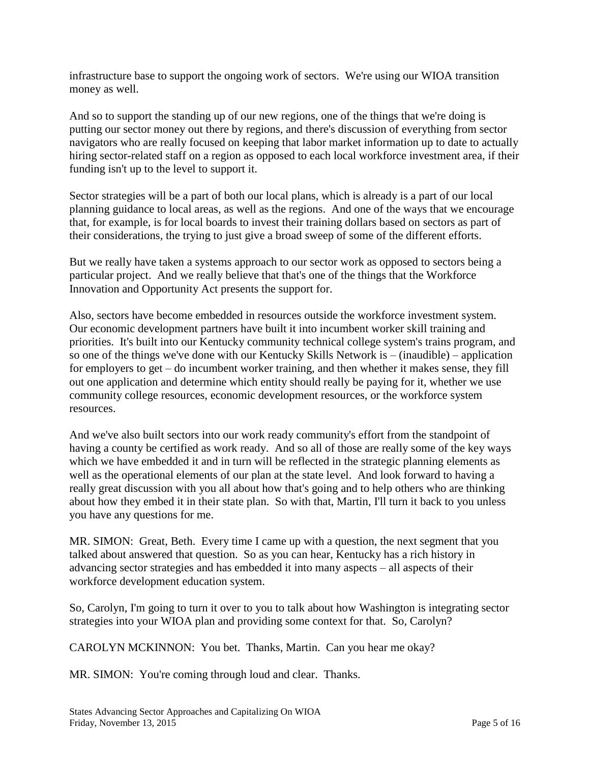infrastructure base to support the ongoing work of sectors. We're using our WIOA transition money as well.

And so to support the standing up of our new regions, one of the things that we're doing is putting our sector money out there by regions, and there's discussion of everything from sector navigators who are really focused on keeping that labor market information up to date to actually hiring sector-related staff on a region as opposed to each local workforce investment area, if their funding isn't up to the level to support it.

Sector strategies will be a part of both our local plans, which is already is a part of our local planning guidance to local areas, as well as the regions. And one of the ways that we encourage that, for example, is for local boards to invest their training dollars based on sectors as part of their considerations, the trying to just give a broad sweep of some of the different efforts.

But we really have taken a systems approach to our sector work as opposed to sectors being a particular project. And we really believe that that's one of the things that the Workforce Innovation and Opportunity Act presents the support for.

Also, sectors have become embedded in resources outside the workforce investment system. Our economic development partners have built it into incumbent worker skill training and priorities. It's built into our Kentucky community technical college system's trains program, and so one of the things we've done with our Kentucky Skills Network is – (inaudible) – application for employers to get – do incumbent worker training, and then whether it makes sense, they fill out one application and determine which entity should really be paying for it, whether we use community college resources, economic development resources, or the workforce system resources.

And we've also built sectors into our work ready community's effort from the standpoint of having a county be certified as work ready. And so all of those are really some of the key ways which we have embedded it and in turn will be reflected in the strategic planning elements as well as the operational elements of our plan at the state level. And look forward to having a really great discussion with you all about how that's going and to help others who are thinking about how they embed it in their state plan. So with that, Martin, I'll turn it back to you unless you have any questions for me.

MR. SIMON: Great, Beth. Every time I came up with a question, the next segment that you talked about answered that question. So as you can hear, Kentucky has a rich history in advancing sector strategies and has embedded it into many aspects – all aspects of their workforce development education system.

So, Carolyn, I'm going to turn it over to you to talk about how Washington is integrating sector strategies into your WIOA plan and providing some context for that. So, Carolyn?

CAROLYN MCKINNON: You bet. Thanks, Martin. Can you hear me okay?

MR. SIMON: You're coming through loud and clear. Thanks.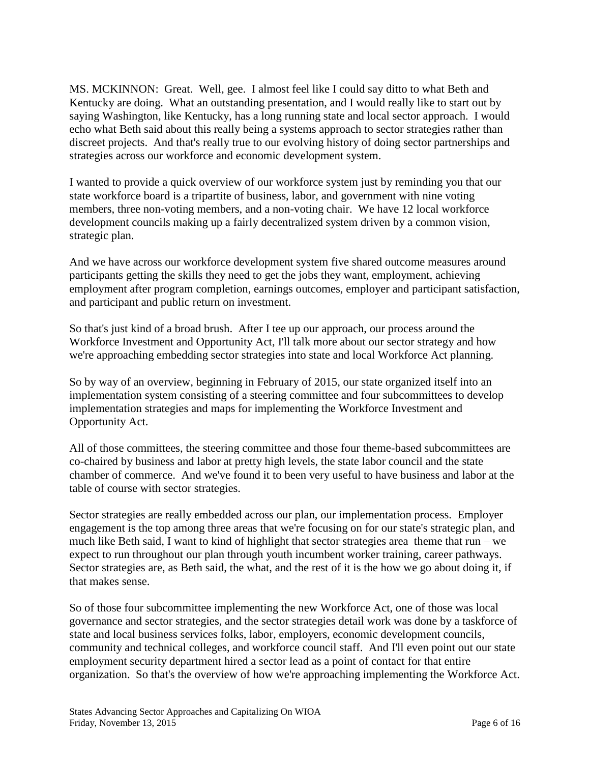MS. MCKINNON: Great. Well, gee. I almost feel like I could say ditto to what Beth and Kentucky are doing. What an outstanding presentation, and I would really like to start out by saying Washington, like Kentucky, has a long running state and local sector approach. I would echo what Beth said about this really being a systems approach to sector strategies rather than discreet projects. And that's really true to our evolving history of doing sector partnerships and strategies across our workforce and economic development system.

I wanted to provide a quick overview of our workforce system just by reminding you that our state workforce board is a tripartite of business, labor, and government with nine voting members, three non-voting members, and a non-voting chair. We have 12 local workforce development councils making up a fairly decentralized system driven by a common vision, strategic plan.

And we have across our workforce development system five shared outcome measures around participants getting the skills they need to get the jobs they want, employment, achieving employment after program completion, earnings outcomes, employer and participant satisfaction, and participant and public return on investment.

So that's just kind of a broad brush. After I tee up our approach, our process around the Workforce Investment and Opportunity Act, I'll talk more about our sector strategy and how we're approaching embedding sector strategies into state and local Workforce Act planning.

So by way of an overview, beginning in February of 2015, our state organized itself into an implementation system consisting of a steering committee and four subcommittees to develop implementation strategies and maps for implementing the Workforce Investment and Opportunity Act.

All of those committees, the steering committee and those four theme-based subcommittees are co-chaired by business and labor at pretty high levels, the state labor council and the state chamber of commerce. And we've found it to been very useful to have business and labor at the table of course with sector strategies.

Sector strategies are really embedded across our plan, our implementation process. Employer engagement is the top among three areas that we're focusing on for our state's strategic plan, and much like Beth said, I want to kind of highlight that sector strategies area theme that  $run - we$ expect to run throughout our plan through youth incumbent worker training, career pathways. Sector strategies are, as Beth said, the what, and the rest of it is the how we go about doing it, if that makes sense.

So of those four subcommittee implementing the new Workforce Act, one of those was local governance and sector strategies, and the sector strategies detail work was done by a taskforce of state and local business services folks, labor, employers, economic development councils, community and technical colleges, and workforce council staff. And I'll even point out our state employment security department hired a sector lead as a point of contact for that entire organization. So that's the overview of how we're approaching implementing the Workforce Act.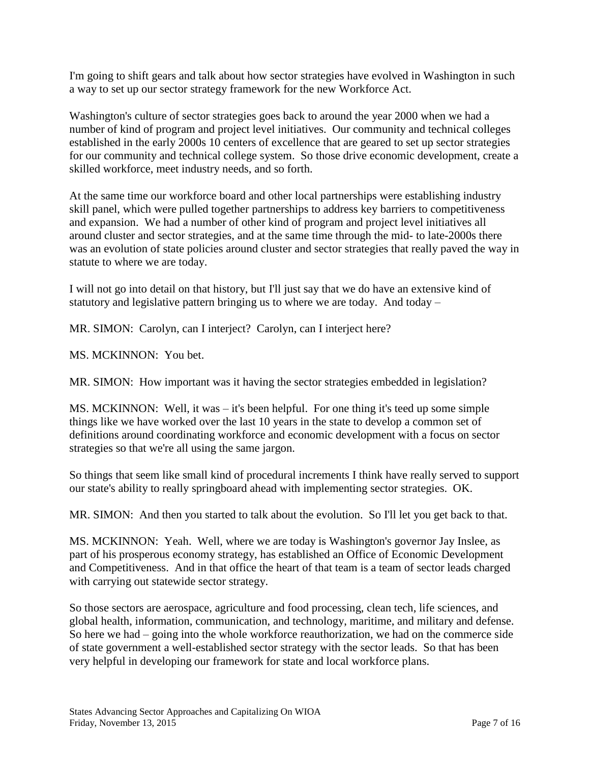I'm going to shift gears and talk about how sector strategies have evolved in Washington in such a way to set up our sector strategy framework for the new Workforce Act.

Washington's culture of sector strategies goes back to around the year 2000 when we had a number of kind of program and project level initiatives. Our community and technical colleges established in the early 2000s 10 centers of excellence that are geared to set up sector strategies for our community and technical college system. So those drive economic development, create a skilled workforce, meet industry needs, and so forth.

At the same time our workforce board and other local partnerships were establishing industry skill panel, which were pulled together partnerships to address key barriers to competitiveness and expansion. We had a number of other kind of program and project level initiatives all around cluster and sector strategies, and at the same time through the mid- to late-2000s there was an evolution of state policies around cluster and sector strategies that really paved the way in statute to where we are today.

I will not go into detail on that history, but I'll just say that we do have an extensive kind of statutory and legislative pattern bringing us to where we are today. And today –

MR. SIMON: Carolyn, can I interject? Carolyn, can I interject here?

MS. MCKINNON: You bet.

MR. SIMON: How important was it having the sector strategies embedded in legislation?

MS. MCKINNON: Well, it was – it's been helpful. For one thing it's teed up some simple things like we have worked over the last 10 years in the state to develop a common set of definitions around coordinating workforce and economic development with a focus on sector strategies so that we're all using the same jargon.

So things that seem like small kind of procedural increments I think have really served to support our state's ability to really springboard ahead with implementing sector strategies. OK.

MR. SIMON: And then you started to talk about the evolution. So I'll let you get back to that.

MS. MCKINNON: Yeah. Well, where we are today is Washington's governor Jay Inslee, as part of his prosperous economy strategy, has established an Office of Economic Development and Competitiveness. And in that office the heart of that team is a team of sector leads charged with carrying out statewide sector strategy.

So those sectors are aerospace, agriculture and food processing, clean tech, life sciences, and global health, information, communication, and technology, maritime, and military and defense. So here we had – going into the whole workforce reauthorization, we had on the commerce side of state government a well-established sector strategy with the sector leads. So that has been very helpful in developing our framework for state and local workforce plans.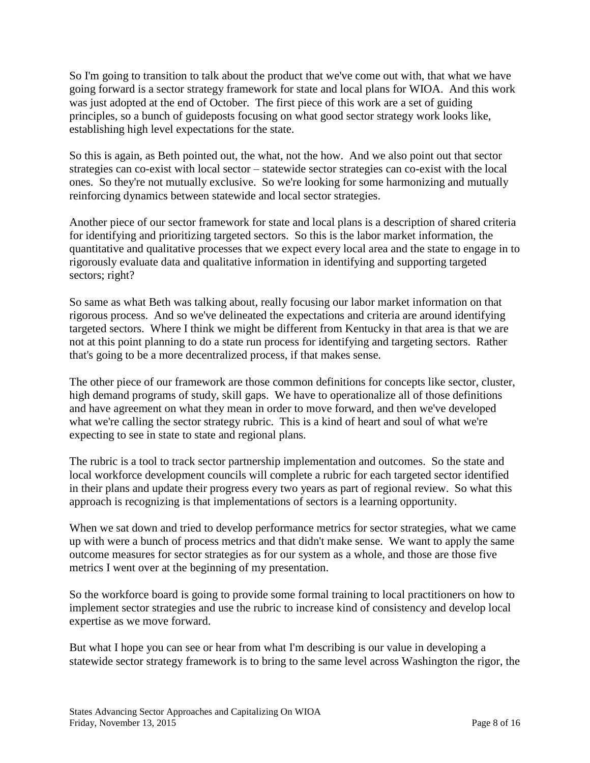So I'm going to transition to talk about the product that we've come out with, that what we have going forward is a sector strategy framework for state and local plans for WIOA. And this work was just adopted at the end of October. The first piece of this work are a set of guiding principles, so a bunch of guideposts focusing on what good sector strategy work looks like, establishing high level expectations for the state.

So this is again, as Beth pointed out, the what, not the how. And we also point out that sector strategies can co-exist with local sector – statewide sector strategies can co-exist with the local ones. So they're not mutually exclusive. So we're looking for some harmonizing and mutually reinforcing dynamics between statewide and local sector strategies.

Another piece of our sector framework for state and local plans is a description of shared criteria for identifying and prioritizing targeted sectors. So this is the labor market information, the quantitative and qualitative processes that we expect every local area and the state to engage in to rigorously evaluate data and qualitative information in identifying and supporting targeted sectors; right?

So same as what Beth was talking about, really focusing our labor market information on that rigorous process. And so we've delineated the expectations and criteria are around identifying targeted sectors. Where I think we might be different from Kentucky in that area is that we are not at this point planning to do a state run process for identifying and targeting sectors. Rather that's going to be a more decentralized process, if that makes sense.

The other piece of our framework are those common definitions for concepts like sector, cluster, high demand programs of study, skill gaps. We have to operationalize all of those definitions and have agreement on what they mean in order to move forward, and then we've developed what we're calling the sector strategy rubric. This is a kind of heart and soul of what we're expecting to see in state to state and regional plans.

The rubric is a tool to track sector partnership implementation and outcomes. So the state and local workforce development councils will complete a rubric for each targeted sector identified in their plans and update their progress every two years as part of regional review. So what this approach is recognizing is that implementations of sectors is a learning opportunity.

When we sat down and tried to develop performance metrics for sector strategies, what we came up with were a bunch of process metrics and that didn't make sense. We want to apply the same outcome measures for sector strategies as for our system as a whole, and those are those five metrics I went over at the beginning of my presentation.

So the workforce board is going to provide some formal training to local practitioners on how to implement sector strategies and use the rubric to increase kind of consistency and develop local expertise as we move forward.

But what I hope you can see or hear from what I'm describing is our value in developing a statewide sector strategy framework is to bring to the same level across Washington the rigor, the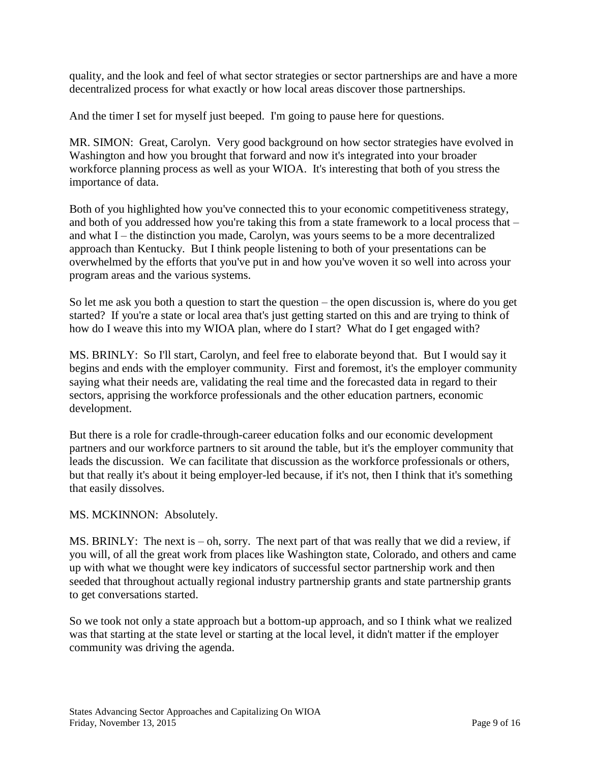quality, and the look and feel of what sector strategies or sector partnerships are and have a more decentralized process for what exactly or how local areas discover those partnerships.

And the timer I set for myself just beeped. I'm going to pause here for questions.

MR. SIMON: Great, Carolyn. Very good background on how sector strategies have evolved in Washington and how you brought that forward and now it's integrated into your broader workforce planning process as well as your WIOA. It's interesting that both of you stress the importance of data.

Both of you highlighted how you've connected this to your economic competitiveness strategy, and both of you addressed how you're taking this from a state framework to a local process that – and what I – the distinction you made, Carolyn, was yours seems to be a more decentralized approach than Kentucky. But I think people listening to both of your presentations can be overwhelmed by the efforts that you've put in and how you've woven it so well into across your program areas and the various systems.

So let me ask you both a question to start the question – the open discussion is, where do you get started? If you're a state or local area that's just getting started on this and are trying to think of how do I weave this into my WIOA plan, where do I start? What do I get engaged with?

MS. BRINLY: So I'll start, Carolyn, and feel free to elaborate beyond that. But I would say it begins and ends with the employer community. First and foremost, it's the employer community saying what their needs are, validating the real time and the forecasted data in regard to their sectors, apprising the workforce professionals and the other education partners, economic development.

But there is a role for cradle-through-career education folks and our economic development partners and our workforce partners to sit around the table, but it's the employer community that leads the discussion. We can facilitate that discussion as the workforce professionals or others, but that really it's about it being employer-led because, if it's not, then I think that it's something that easily dissolves.

MS. MCKINNON: Absolutely.

MS. BRINLY: The next is  $-$  oh, sorry. The next part of that was really that we did a review, if you will, of all the great work from places like Washington state, Colorado, and others and came up with what we thought were key indicators of successful sector partnership work and then seeded that throughout actually regional industry partnership grants and state partnership grants to get conversations started.

So we took not only a state approach but a bottom-up approach, and so I think what we realized was that starting at the state level or starting at the local level, it didn't matter if the employer community was driving the agenda.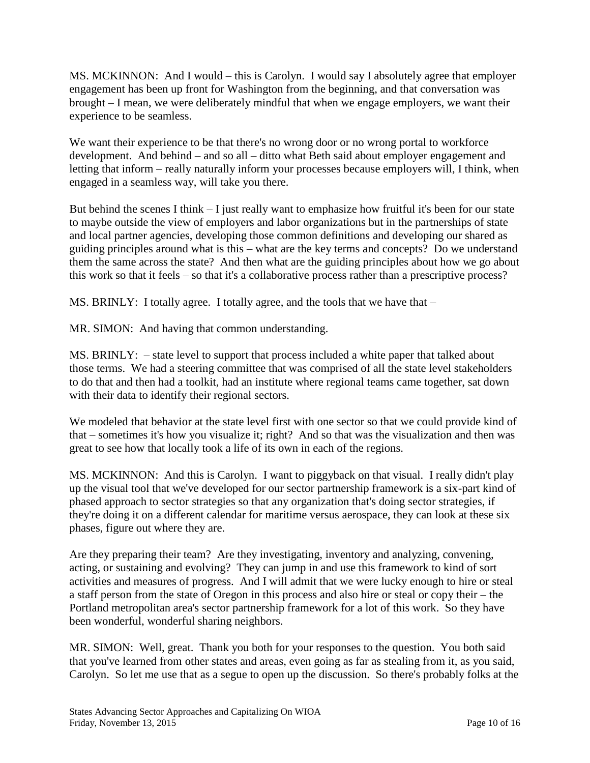MS. MCKINNON: And I would – this is Carolyn. I would say I absolutely agree that employer engagement has been up front for Washington from the beginning, and that conversation was brought – I mean, we were deliberately mindful that when we engage employers, we want their experience to be seamless.

We want their experience to be that there's no wrong door or no wrong portal to workforce development. And behind – and so all – ditto what Beth said about employer engagement and letting that inform – really naturally inform your processes because employers will, I think, when engaged in a seamless way, will take you there.

But behind the scenes I think – I just really want to emphasize how fruitful it's been for our state to maybe outside the view of employers and labor organizations but in the partnerships of state and local partner agencies, developing those common definitions and developing our shared as guiding principles around what is this – what are the key terms and concepts? Do we understand them the same across the state? And then what are the guiding principles about how we go about this work so that it feels – so that it's a collaborative process rather than a prescriptive process?

MS. BRINLY: I totally agree. I totally agree, and the tools that we have that  $-$ 

MR. SIMON: And having that common understanding.

MS. BRINLY: – state level to support that process included a white paper that talked about those terms. We had a steering committee that was comprised of all the state level stakeholders to do that and then had a toolkit, had an institute where regional teams came together, sat down with their data to identify their regional sectors.

We modeled that behavior at the state level first with one sector so that we could provide kind of that – sometimes it's how you visualize it; right? And so that was the visualization and then was great to see how that locally took a life of its own in each of the regions.

MS. MCKINNON: And this is Carolyn. I want to piggyback on that visual. I really didn't play up the visual tool that we've developed for our sector partnership framework is a six-part kind of phased approach to sector strategies so that any organization that's doing sector strategies, if they're doing it on a different calendar for maritime versus aerospace, they can look at these six phases, figure out where they are.

Are they preparing their team? Are they investigating, inventory and analyzing, convening, acting, or sustaining and evolving? They can jump in and use this framework to kind of sort activities and measures of progress. And I will admit that we were lucky enough to hire or steal a staff person from the state of Oregon in this process and also hire or steal or copy their – the Portland metropolitan area's sector partnership framework for a lot of this work. So they have been wonderful, wonderful sharing neighbors.

MR. SIMON: Well, great. Thank you both for your responses to the question. You both said that you've learned from other states and areas, even going as far as stealing from it, as you said, Carolyn. So let me use that as a segue to open up the discussion. So there's probably folks at the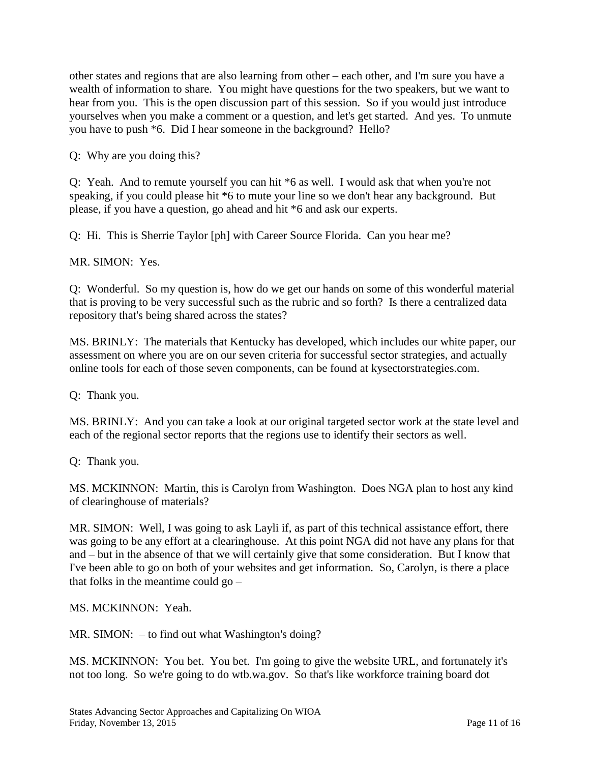other states and regions that are also learning from other – each other, and I'm sure you have a wealth of information to share. You might have questions for the two speakers, but we want to hear from you. This is the open discussion part of this session. So if you would just introduce yourselves when you make a comment or a question, and let's get started. And yes. To unmute you have to push \*6. Did I hear someone in the background? Hello?

Q: Why are you doing this?

Q: Yeah. And to remute yourself you can hit \*6 as well. I would ask that when you're not speaking, if you could please hit \*6 to mute your line so we don't hear any background. But please, if you have a question, go ahead and hit \*6 and ask our experts.

Q: Hi. This is Sherrie Taylor [ph] with Career Source Florida. Can you hear me?

MR. SIMON: Yes.

Q: Wonderful. So my question is, how do we get our hands on some of this wonderful material that is proving to be very successful such as the rubric and so forth? Is there a centralized data repository that's being shared across the states?

MS. BRINLY: The materials that Kentucky has developed, which includes our white paper, our assessment on where you are on our seven criteria for successful sector strategies, and actually online tools for each of those seven components, can be found at kysectorstrategies.com.

Q: Thank you.

MS. BRINLY: And you can take a look at our original targeted sector work at the state level and each of the regional sector reports that the regions use to identify their sectors as well.

Q: Thank you.

MS. MCKINNON: Martin, this is Carolyn from Washington. Does NGA plan to host any kind of clearinghouse of materials?

MR. SIMON: Well, I was going to ask Layli if, as part of this technical assistance effort, there was going to be any effort at a clearinghouse. At this point NGA did not have any plans for that and – but in the absence of that we will certainly give that some consideration. But I know that I've been able to go on both of your websites and get information. So, Carolyn, is there a place that folks in the meantime could go –

MS. MCKINNON: Yeah.

MR. SIMON: – to find out what Washington's doing?

MS. MCKINNON: You bet. You bet. I'm going to give the website URL, and fortunately it's not too long. So we're going to do wtb.wa.gov. So that's like workforce training board dot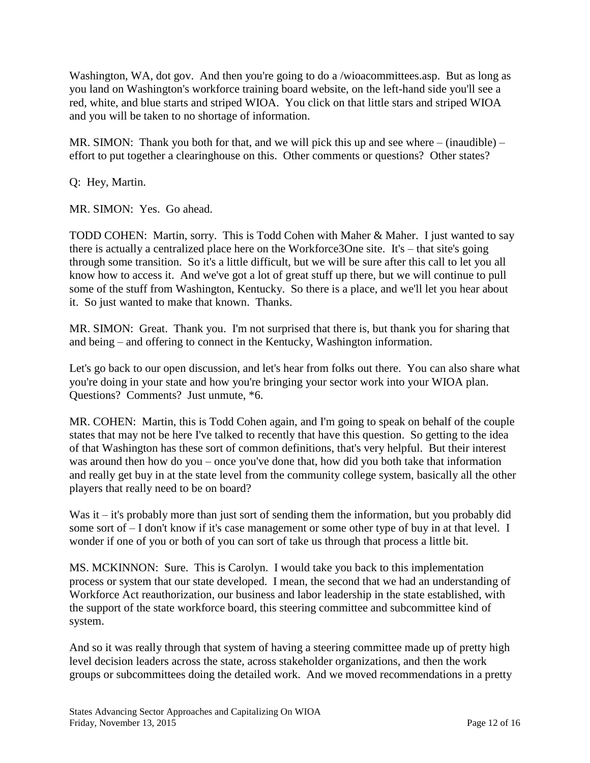Washington, WA, dot gov. And then you're going to do a /wioacommittees.asp. But as long as you land on Washington's workforce training board website, on the left-hand side you'll see a red, white, and blue starts and striped WIOA. You click on that little stars and striped WIOA and you will be taken to no shortage of information.

MR. SIMON: Thank you both for that, and we will pick this up and see where  $-$  (inaudible)  $$ effort to put together a clearinghouse on this. Other comments or questions? Other states?

Q: Hey, Martin.

MR. SIMON: Yes. Go ahead.

TODD COHEN: Martin, sorry. This is Todd Cohen with Maher & Maher. I just wanted to say there is actually a centralized place here on the Workforce3One site. It's – that site's going through some transition. So it's a little difficult, but we will be sure after this call to let you all know how to access it. And we've got a lot of great stuff up there, but we will continue to pull some of the stuff from Washington, Kentucky. So there is a place, and we'll let you hear about it. So just wanted to make that known. Thanks.

MR. SIMON: Great. Thank you. I'm not surprised that there is, but thank you for sharing that and being – and offering to connect in the Kentucky, Washington information.

Let's go back to our open discussion, and let's hear from folks out there. You can also share what you're doing in your state and how you're bringing your sector work into your WIOA plan. Questions? Comments? Just unmute, \*6.

MR. COHEN: Martin, this is Todd Cohen again, and I'm going to speak on behalf of the couple states that may not be here I've talked to recently that have this question. So getting to the idea of that Washington has these sort of common definitions, that's very helpful. But their interest was around then how do you – once you've done that, how did you both take that information and really get buy in at the state level from the community college system, basically all the other players that really need to be on board?

Was it – it's probably more than just sort of sending them the information, but you probably did some sort of – I don't know if it's case management or some other type of buy in at that level. I wonder if one of you or both of you can sort of take us through that process a little bit.

MS. MCKINNON: Sure. This is Carolyn. I would take you back to this implementation process or system that our state developed. I mean, the second that we had an understanding of Workforce Act reauthorization, our business and labor leadership in the state established, with the support of the state workforce board, this steering committee and subcommittee kind of system.

And so it was really through that system of having a steering committee made up of pretty high level decision leaders across the state, across stakeholder organizations, and then the work groups or subcommittees doing the detailed work. And we moved recommendations in a pretty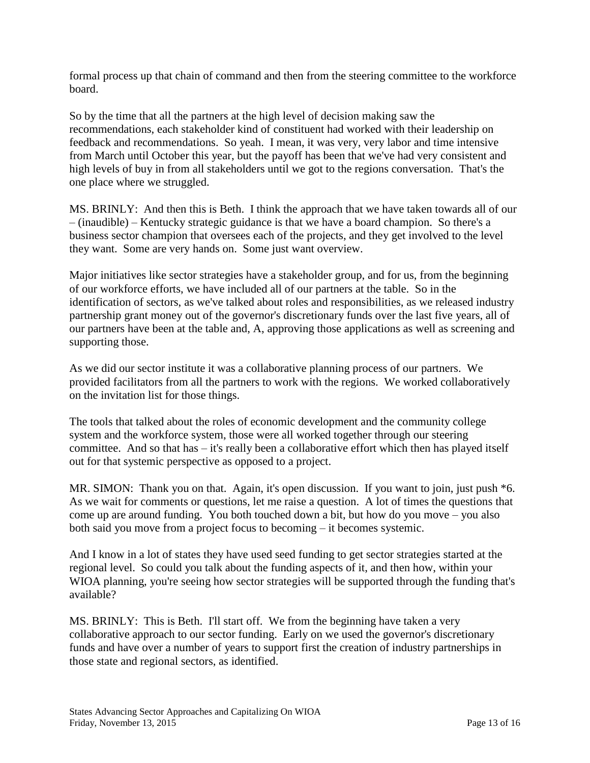formal process up that chain of command and then from the steering committee to the workforce board.

So by the time that all the partners at the high level of decision making saw the recommendations, each stakeholder kind of constituent had worked with their leadership on feedback and recommendations. So yeah. I mean, it was very, very labor and time intensive from March until October this year, but the payoff has been that we've had very consistent and high levels of buy in from all stakeholders until we got to the regions conversation. That's the one place where we struggled.

MS. BRINLY: And then this is Beth. I think the approach that we have taken towards all of our – (inaudible) – Kentucky strategic guidance is that we have a board champion. So there's a business sector champion that oversees each of the projects, and they get involved to the level they want. Some are very hands on. Some just want overview.

Major initiatives like sector strategies have a stakeholder group, and for us, from the beginning of our workforce efforts, we have included all of our partners at the table. So in the identification of sectors, as we've talked about roles and responsibilities, as we released industry partnership grant money out of the governor's discretionary funds over the last five years, all of our partners have been at the table and, A, approving those applications as well as screening and supporting those.

As we did our sector institute it was a collaborative planning process of our partners. We provided facilitators from all the partners to work with the regions. We worked collaboratively on the invitation list for those things.

The tools that talked about the roles of economic development and the community college system and the workforce system, those were all worked together through our steering committee. And so that has – it's really been a collaborative effort which then has played itself out for that systemic perspective as opposed to a project.

MR. SIMON: Thank you on that. Again, it's open discussion. If you want to join, just push  $*6$ . As we wait for comments or questions, let me raise a question. A lot of times the questions that come up are around funding. You both touched down a bit, but how do you move – you also both said you move from a project focus to becoming – it becomes systemic.

And I know in a lot of states they have used seed funding to get sector strategies started at the regional level. So could you talk about the funding aspects of it, and then how, within your WIOA planning, you're seeing how sector strategies will be supported through the funding that's available?

MS. BRINLY: This is Beth. I'll start off. We from the beginning have taken a very collaborative approach to our sector funding. Early on we used the governor's discretionary funds and have over a number of years to support first the creation of industry partnerships in those state and regional sectors, as identified.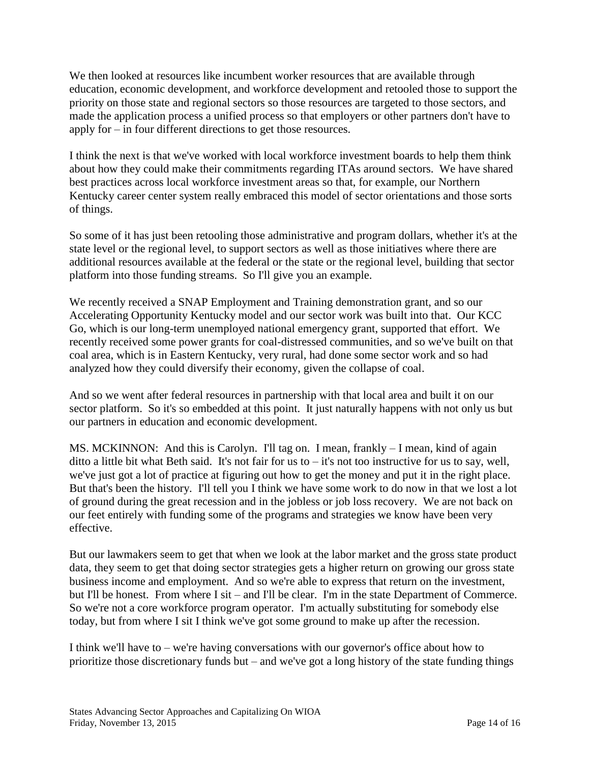We then looked at resources like incumbent worker resources that are available through education, economic development, and workforce development and retooled those to support the priority on those state and regional sectors so those resources are targeted to those sectors, and made the application process a unified process so that employers or other partners don't have to apply for – in four different directions to get those resources.

I think the next is that we've worked with local workforce investment boards to help them think about how they could make their commitments regarding ITAs around sectors. We have shared best practices across local workforce investment areas so that, for example, our Northern Kentucky career center system really embraced this model of sector orientations and those sorts of things.

So some of it has just been retooling those administrative and program dollars, whether it's at the state level or the regional level, to support sectors as well as those initiatives where there are additional resources available at the federal or the state or the regional level, building that sector platform into those funding streams. So I'll give you an example.

We recently received a SNAP Employment and Training demonstration grant, and so our Accelerating Opportunity Kentucky model and our sector work was built into that. Our KCC Go, which is our long-term unemployed national emergency grant, supported that effort. We recently received some power grants for coal-distressed communities, and so we've built on that coal area, which is in Eastern Kentucky, very rural, had done some sector work and so had analyzed how they could diversify their economy, given the collapse of coal.

And so we went after federal resources in partnership with that local area and built it on our sector platform. So it's so embedded at this point. It just naturally happens with not only us but our partners in education and economic development.

MS. MCKINNON: And this is Carolyn. I'll tag on. I mean, frankly – I mean, kind of again ditto a little bit what Beth said. It's not fair for us to  $-$  it's not too instructive for us to say, well, we've just got a lot of practice at figuring out how to get the money and put it in the right place. But that's been the history. I'll tell you I think we have some work to do now in that we lost a lot of ground during the great recession and in the jobless or job loss recovery. We are not back on our feet entirely with funding some of the programs and strategies we know have been very effective.

But our lawmakers seem to get that when we look at the labor market and the gross state product data, they seem to get that doing sector strategies gets a higher return on growing our gross state business income and employment. And so we're able to express that return on the investment, but I'll be honest. From where I sit – and I'll be clear. I'm in the state Department of Commerce. So we're not a core workforce program operator. I'm actually substituting for somebody else today, but from where I sit I think we've got some ground to make up after the recession.

I think we'll have to – we're having conversations with our governor's office about how to prioritize those discretionary funds but – and we've got a long history of the state funding things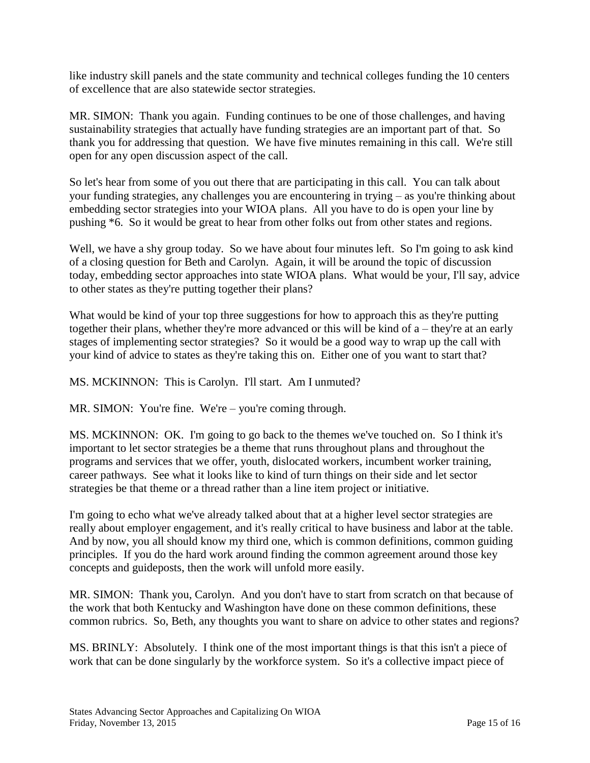like industry skill panels and the state community and technical colleges funding the 10 centers of excellence that are also statewide sector strategies.

MR. SIMON: Thank you again. Funding continues to be one of those challenges, and having sustainability strategies that actually have funding strategies are an important part of that. So thank you for addressing that question. We have five minutes remaining in this call. We're still open for any open discussion aspect of the call.

So let's hear from some of you out there that are participating in this call. You can talk about your funding strategies, any challenges you are encountering in trying – as you're thinking about embedding sector strategies into your WIOA plans. All you have to do is open your line by pushing \*6. So it would be great to hear from other folks out from other states and regions.

Well, we have a shy group today. So we have about four minutes left. So I'm going to ask kind of a closing question for Beth and Carolyn. Again, it will be around the topic of discussion today, embedding sector approaches into state WIOA plans. What would be your, I'll say, advice to other states as they're putting together their plans?

What would be kind of your top three suggestions for how to approach this as they're putting together their plans, whether they're more advanced or this will be kind of a – they're at an early stages of implementing sector strategies? So it would be a good way to wrap up the call with your kind of advice to states as they're taking this on. Either one of you want to start that?

MS. MCKINNON: This is Carolyn. I'll start. Am I unmuted?

MR. SIMON: You're fine. We're – you're coming through.

MS. MCKINNON: OK. I'm going to go back to the themes we've touched on. So I think it's important to let sector strategies be a theme that runs throughout plans and throughout the programs and services that we offer, youth, dislocated workers, incumbent worker training, career pathways. See what it looks like to kind of turn things on their side and let sector strategies be that theme or a thread rather than a line item project or initiative.

I'm going to echo what we've already talked about that at a higher level sector strategies are really about employer engagement, and it's really critical to have business and labor at the table. And by now, you all should know my third one, which is common definitions, common guiding principles. If you do the hard work around finding the common agreement around those key concepts and guideposts, then the work will unfold more easily.

MR. SIMON: Thank you, Carolyn. And you don't have to start from scratch on that because of the work that both Kentucky and Washington have done on these common definitions, these common rubrics. So, Beth, any thoughts you want to share on advice to other states and regions?

MS. BRINLY: Absolutely. I think one of the most important things is that this isn't a piece of work that can be done singularly by the workforce system. So it's a collective impact piece of